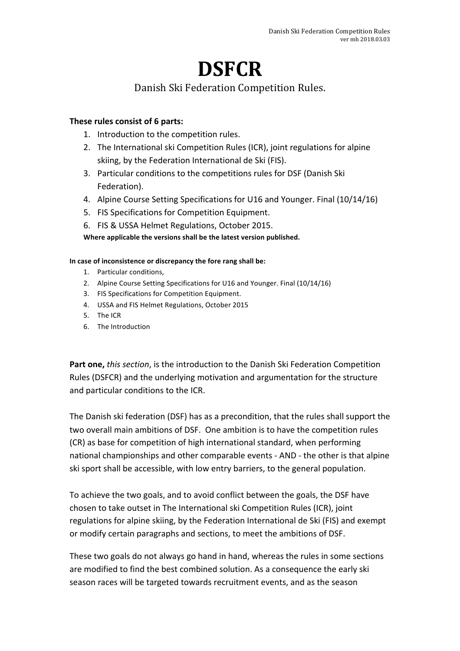# **DSFCR**

### Danish Ski Federation Competition Rules.

#### **These rules consist of 6 parts:**

- 1. Introduction to the competition rules.
- 2. The International ski Competition Rules (ICR), joint regulations for alpine skiing, by the Federation International de Ski (FIS).
- 3. Particular conditions to the competitions rules for DSF (Danish Ski) Federation).
- 4. Alpine Course Setting Specifications for U16 and Younger. Final (10/14/16)
- 5. FIS Specifications for Competition Equipment.
- 6. FIS & USSA Helmet Regulations, October 2015.

Where applicable the versions shall be the latest version published.

#### In case of inconsistence or discrepancy the fore rang shall be:

- 1. Particular conditions,
- 2. Alpine Course Setting Specifications for U16 and Younger. Final (10/14/16)
- 3. FIS Specifications for Competition Equipment.
- 4. USSA and FIS Helmet Regulations, October 2015
- 5. The ICR
- 6. The Introduction

**Part one,** *this section*, is the introduction to the Danish Ski Federation Competition Rules (DSFCR) and the underlying motivation and argumentation for the structure and particular conditions to the ICR.

The Danish ski federation (DSF) has as a precondition, that the rules shall support the two overall main ambitions of DSF. One ambition is to have the competition rules (CR) as base for competition of high international standard, when performing national championships and other comparable events - AND - the other is that alpine ski sport shall be accessible, with low entry barriers, to the general population.

To achieve the two goals, and to avoid conflict between the goals, the DSF have chosen to take outset in The International ski Competition Rules (ICR), joint regulations for alpine skiing, by the Federation International de Ski (FIS) and exempt or modify certain paragraphs and sections, to meet the ambitions of DSF.

These two goals do not always go hand in hand, whereas the rules in some sections are modified to find the best combined solution. As a consequence the early ski season races will be targeted towards recruitment events, and as the season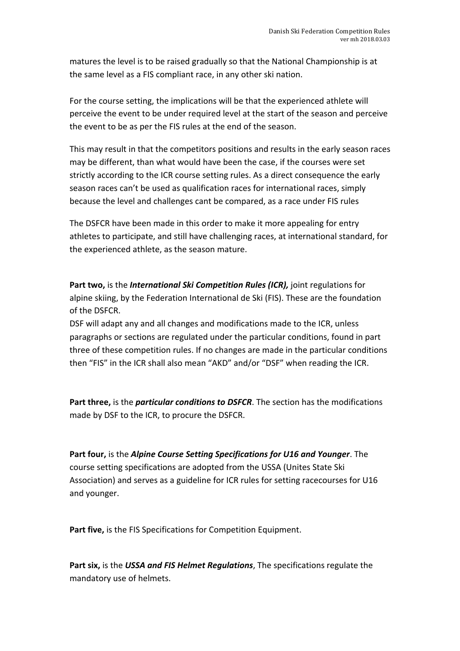matures the level is to be raised gradually so that the National Championship is at the same level as a FIS compliant race, in any other ski nation.

For the course setting, the implications will be that the experienced athlete will perceive the event to be under required level at the start of the season and perceive the event to be as per the FIS rules at the end of the season.

This may result in that the competitors positions and results in the early season races may be different, than what would have been the case, if the courses were set strictly according to the ICR course setting rules. As a direct consequence the early season races can't be used as qualification races for international races, simply because the level and challenges cant be compared, as a race under FIS rules

The DSFCR have been made in this order to make it more appealing for entry athletes to participate, and still have challenging races, at international standard, for the experienced athlete, as the season mature.

**Part two, is the International Ski Competition Rules (ICR), joint regulations for** alpine skiing, by the Federation International de Ski (FIS). These are the foundation of the DSFCR

DSF will adapt any and all changes and modifications made to the ICR, unless paragraphs or sections are regulated under the particular conditions, found in part three of these competition rules. If no changes are made in the particular conditions then "FIS" in the ICR shall also mean "AKD" and/or "DSF" when reading the ICR.

**Part three,** is the *particular conditions to DSFCR*. The section has the modifications made by DSF to the ICR, to procure the DSFCR.

Part four, is the *Alpine Course Setting Specifications for U16* and Younger. The course setting specifications are adopted from the USSA (Unites State Ski Association) and serves as a guideline for ICR rules for setting racecourses for U16 and younger.

**Part five, is the FIS Specifications for Competition Equipment.** 

Part six, is the USSA and FIS Helmet Regulations, The specifications regulate the mandatory use of helmets.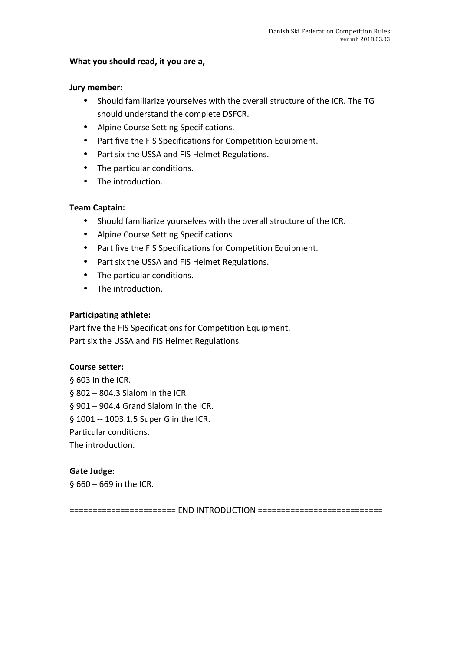#### What you should read, it you are a,

#### **Jury member:**

- Should familiarize yourselves with the overall structure of the ICR. The TG should understand the complete DSFCR.
- Alpine Course Setting Specifications.
- Part five the FIS Specifications for Competition Equipment.
- Part six the USSA and FIS Helmet Regulations.
- The particular conditions.
- The introduction.

#### **Team Captain:**

- Should familiarize yourselves with the overall structure of the ICR.
- Alpine Course Setting Specifications.
- Part five the FIS Specifications for Competition Equipment.
- Part six the USSA and FIS Helmet Regulations.
- The particular conditions.
- The introduction.

#### **Participating athlete:**

Part five the FIS Specifications for Competition Equipment. Part six the USSA and FIS Helmet Regulations.

#### **Course setter:**

§ 603 in the ICR.  $$802 - 804.3$  Slalom in the ICR.  $$901 - 904.4$  Grand Slalom in the ICR. § 1001 -- 1003.1.5 Super G in the ICR. Particular conditions. The introduction.

#### **Gate Judge:**

 $§$  660 – 669 in the ICR.

======================= END INTRODUCTION ===========================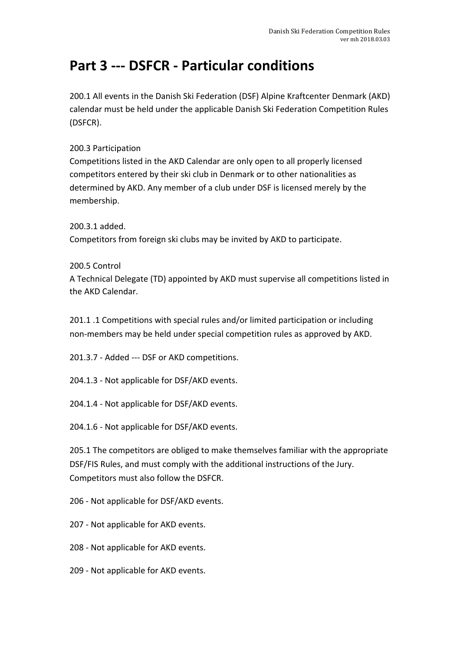# **Part 3 --- DSFCR - Particular conditions**

200.1 All events in the Danish Ski Federation (DSF) Alpine Kraftcenter Denmark (AKD) calendar must be held under the applicable Danish Ski Federation Competition Rules (DSFCR).

200.3 Participation

Competitions listed in the AKD Calendar are only open to all properly licensed competitors entered by their ski club in Denmark or to other nationalities as determined by AKD. Any member of a club under DSF is licensed merely by the membership.

200.3.1 added. Competitors from foreign ski clubs may be invited by AKD to participate.

200.5 Control

A Technical Delegate (TD) appointed by AKD must supervise all competitions listed in the AKD Calendar.

201.1 .1 Competitions with special rules and/or limited participation or including non-members may be held under special competition rules as approved by AKD.

201.3.7 - Added --- DSF or AKD competitions.

204.1.3 - Not applicable for DSF/AKD events.

204.1.4 - Not applicable for DSF/AKD events.

204.1.6 - Not applicable for DSF/AKD events.

205.1 The competitors are obliged to make themselves familiar with the appropriate DSF/FIS Rules, and must comply with the additional instructions of the Jury. Competitors must also follow the DSFCR.

206 - Not applicable for DSF/AKD events.

207 - Not applicable for AKD events.

208 - Not applicable for AKD events.

209 - Not applicable for AKD events.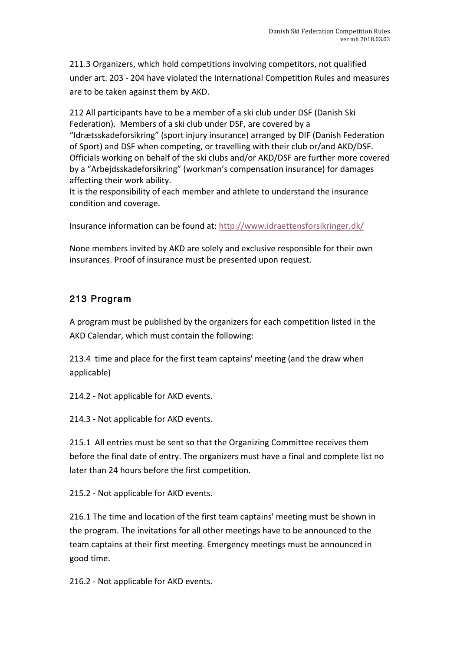211.3 Organizers, which hold competitions involving competitors, not qualified under art. 203 - 204 have violated the International Competition Rules and measures are to be taken against them by AKD.

212 All participants have to be a member of a ski club under DSF (Danish Ski Federation). Members of a ski club under DSF, are covered by a "Idrætsskadeforsikring" (sport injury insurance) arranged by DIF (Danish Federation of Sport) and DSF when competing, or travelling with their club or/and AKD/DSF. Officials working on behalf of the ski clubs and/or AKD/DSF are further more covered by a "Arbejdsskadeforsikring" (workman's compensation insurance) for damages affecting their work ability.

It is the responsibility of each member and athlete to understand the insurance condition and coverage.

Insurance information can be found at: http://www.idraettensforsikringer.dk/

None members invited by AKD are solely and exclusive responsible for their own insurances. Proof of insurance must be presented upon request.

### 213 Program

A program must be published by the organizers for each competition listed in the AKD Calendar, which must contain the following:

213.4 time and place for the first team captains' meeting (and the draw when applicable)

214.2 - Not applicable for AKD events.

214.3 - Not applicable for AKD events.

215.1 All entries must be sent so that the Organizing Committee receives them before the final date of entry. The organizers must have a final and complete list no later than 24 hours before the first competition.

215.2 - Not applicable for AKD events.

216.1 The time and location of the first team captains' meeting must be shown in the program. The invitations for all other meetings have to be announced to the team captains at their first meeting. Emergency meetings must be announced in good time.

216.2 - Not applicable for AKD events.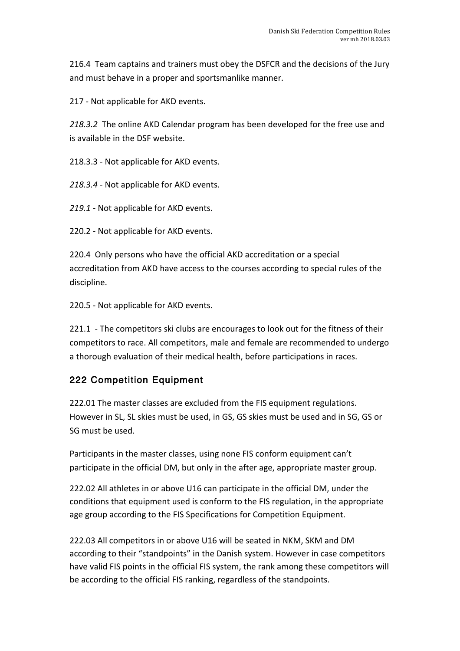216.4 Team captains and trainers must obey the DSFCR and the decisions of the Jury and must behave in a proper and sportsmanlike manner.

217 - Not applicable for AKD events.

218.3.2 The online AKD Calendar program has been developed for the free use and is available in the DSF website.

218.3.3 - Not applicable for AKD events.

218.3.4 - Not applicable for AKD events.

219.1 - Not applicable for AKD events.

220.2 - Not applicable for AKD events.

220.4 Only persons who have the official AKD accreditation or a special accreditation from AKD have access to the courses according to special rules of the discipline. 

220.5 - Not applicable for AKD events.

221.1 - The competitors ski clubs are encourages to look out for the fitness of their competitors to race. All competitors, male and female are recommended to undergo a thorough evaluation of their medical health, before participations in races.

### 222 Competition Equipment

222.01 The master classes are excluded from the FIS equipment regulations. However in SL, SL skies must be used, in GS, GS skies must be used and in SG, GS or SG must be used.

Participants in the master classes, using none FIS conform equipment can't participate in the official DM, but only in the after age, appropriate master group.

222.02 All athletes in or above U16 can participate in the official DM, under the conditions that equipment used is conform to the FIS regulation, in the appropriate age group according to the FIS Specifications for Competition Equipment.

222.03 All competitors in or above U16 will be seated in NKM, SKM and DM according to their "standpoints" in the Danish system. However in case competitors have valid FIS points in the official FIS system, the rank among these competitors will be according to the official FIS ranking, regardless of the standpoints.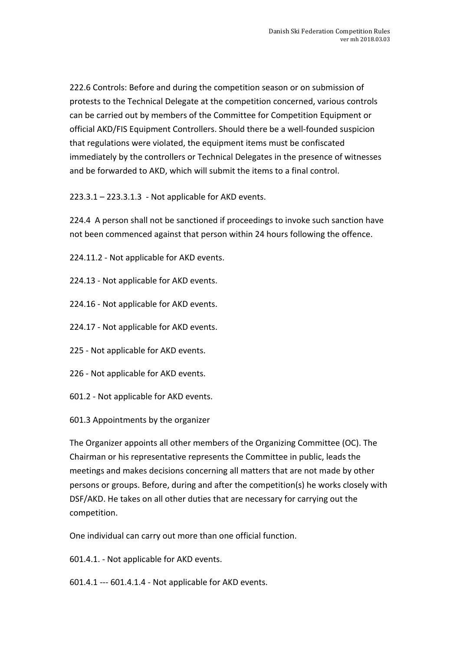222.6 Controls: Before and during the competition season or on submission of protests to the Technical Delegate at the competition concerned, various controls can be carried out by members of the Committee for Competition Equipment or official AKD/FIS Equipment Controllers. Should there be a well-founded suspicion that regulations were violated, the equipment items must be confiscated immediately by the controllers or Technical Delegates in the presence of witnesses and be forwarded to AKD, which will submit the items to a final control.

 $223.3.1 - 223.3.1.3$  - Not applicable for AKD events.

224.4 A person shall not be sanctioned if proceedings to invoke such sanction have not been commenced against that person within 24 hours following the offence.

224.11.2 - Not applicable for AKD events.

- 224.13 Not applicable for AKD events.
- 224.16 Not applicable for AKD events.
- 224.17 Not applicable for AKD events.
- 225 Not applicable for AKD events.
- 226 Not applicable for AKD events.
- 601.2 Not applicable for AKD events.
- 601.3 Appointments by the organizer

The Organizer appoints all other members of the Organizing Committee (OC). The Chairman or his representative represents the Committee in public, leads the meetings and makes decisions concerning all matters that are not made by other persons or groups. Before, during and after the competition(s) he works closely with DSF/AKD. He takes on all other duties that are necessary for carrying out the competition. 

One individual can carry out more than one official function.

601.4.1. - Not applicable for AKD events.

 $601.4.1 - 601.4.1.4 - Not applicable for AKD events.$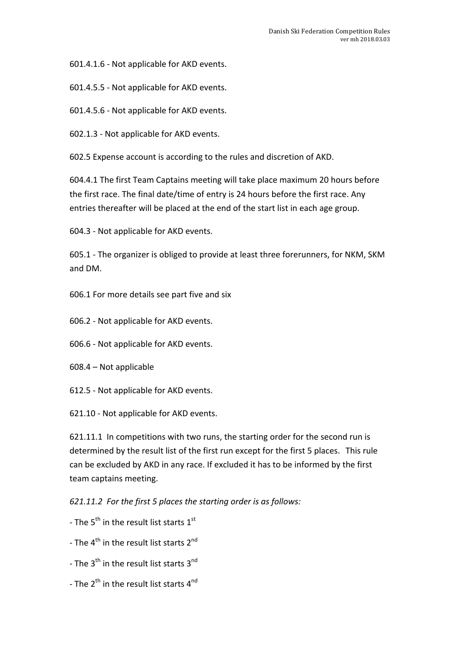601.4.1.6 - Not applicable for AKD events.

601.4.5.5 - Not applicable for AKD events.

601.4.5.6 - Not applicable for AKD events.

602.1.3 - Not applicable for AKD events.

602.5 Expense account is according to the rules and discretion of AKD.

604.4.1 The first Team Captains meeting will take place maximum 20 hours before the first race. The final date/time of entry is 24 hours before the first race. Any entries thereafter will be placed at the end of the start list in each age group.

604.3 - Not applicable for AKD events.

605.1 - The organizer is obliged to provide at least three forerunners, for NKM, SKM and DM.

606.1 For more details see part five and six

606.2 - Not applicable for AKD events.

606.6 - Not applicable for AKD events.

 $608.4 - Not$  applicable

612.5 - Not applicable for AKD events.

621.10 - Not applicable for AKD events.

621.11.1 In competitions with two runs, the starting order for the second run is determined by the result list of the first run except for the first 5 places. This rule can be excluded by AKD in any race. If excluded it has to be informed by the first team captains meeting.

621.11.2 For the first 5 places the starting order is as follows:

- The  $5^{th}$  in the result list starts  $1^{st}$
- The  $4^{\text{th}}$  in the result list starts  $2^{\text{nd}}$
- The  $3<sup>th</sup>$  in the result list starts  $3<sup>nd</sup>$
- The  $2^{th}$  in the result list starts  $4^{nd}$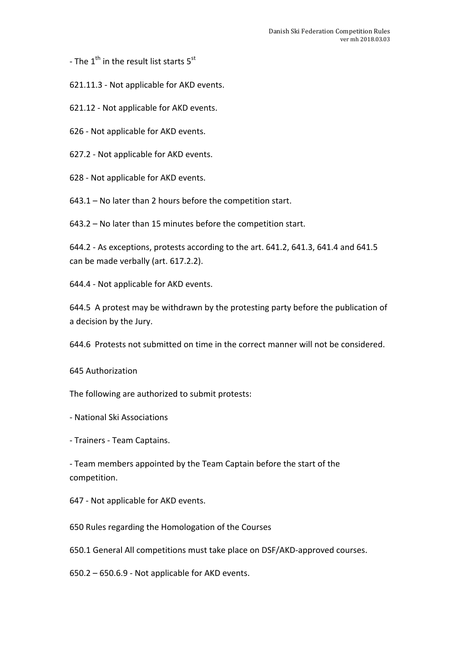- The  $1^{\text{th}}$  in the result list starts  $5^{\text{st}}$ 

621.11.3 - Not applicable for AKD events.

621.12 - Not applicable for AKD events.

626 - Not applicable for AKD events.

627.2 - Not applicable for AKD events.

628 - Not applicable for AKD events.

 $643.1 -$  No later than 2 hours before the competition start.

 $643.2 -$  No later than 15 minutes before the competition start.

 $644.2$  - As exceptions, protests according to the art.  $641.2$ ,  $641.3$ ,  $641.4$  and  $641.5$ can be made verbally (art. 617.2.2).

644.4 - Not applicable for AKD events.

644.5 A protest may be withdrawn by the protesting party before the publication of a decision by the Jury.

644.6 Protests not submitted on time in the correct manner will not be considered.

645 Authorization

The following are authorized to submit protests:

- National Ski Associations 

- Trainers - Team Captains.

- Team members appointed by the Team Captain before the start of the competition.

647 - Not applicable for AKD events.

650 Rules regarding the Homologation of the Courses

650.1 General All competitions must take place on DSF/AKD-approved courses.

 $650.2 - 650.6.9$  - Not applicable for AKD events.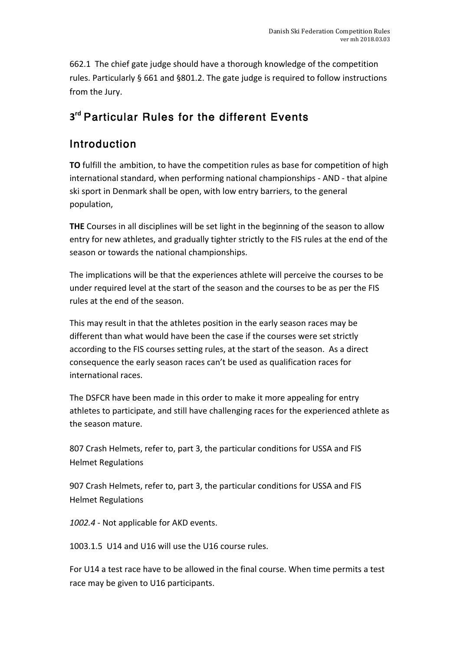662.1 The chief gate judge should have a thorough knowledge of the competition rules. Particularly § 661 and §801.2. The gate judge is required to follow instructions from the Jury.

# **3rd** Particular Rules for the different Events

### **Introduction**

**TO** fulfill the ambition, to have the competition rules as base for competition of high international standard, when performing national championships - AND - that alpine ski sport in Denmark shall be open, with low entry barriers, to the general population, 

**THE** Courses in all disciplines will be set light in the beginning of the season to allow entry for new athletes, and gradually tighter strictly to the FIS rules at the end of the season or towards the national championships.

The implications will be that the experiences athlete will perceive the courses to be under required level at the start of the season and the courses to be as per the FIS rules at the end of the season.

This may result in that the athletes position in the early season races may be different than what would have been the case if the courses were set strictly according to the FIS courses setting rules, at the start of the season. As a direct consequence the early season races can't be used as qualification races for international races.

The DSFCR have been made in this order to make it more appealing for entry athletes to participate, and still have challenging races for the experienced athlete as the season mature.

807 Crash Helmets, refer to, part 3, the particular conditions for USSA and FIS **Helmet Regulations** 

907 Crash Helmets, refer to, part 3, the particular conditions for USSA and FIS Helmet Regulations 

1002.4 - Not applicable for AKD events.

1003.1.5 U14 and U16 will use the U16 course rules.

For U14 a test race have to be allowed in the final course. When time permits a test race may be given to U16 participants.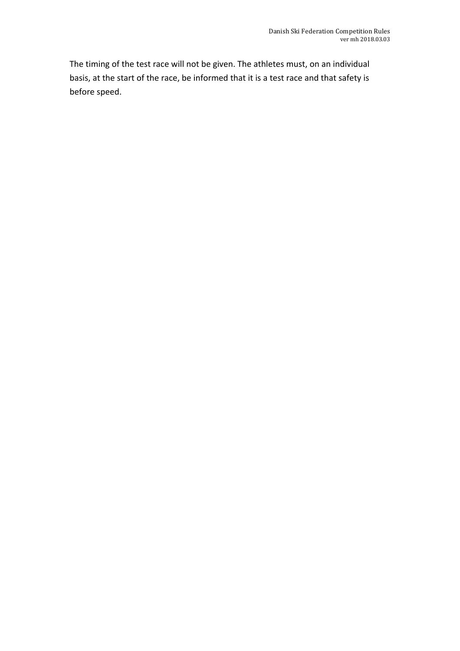The timing of the test race will not be given. The athletes must, on an individual basis, at the start of the race, be informed that it is a test race and that safety is before speed.